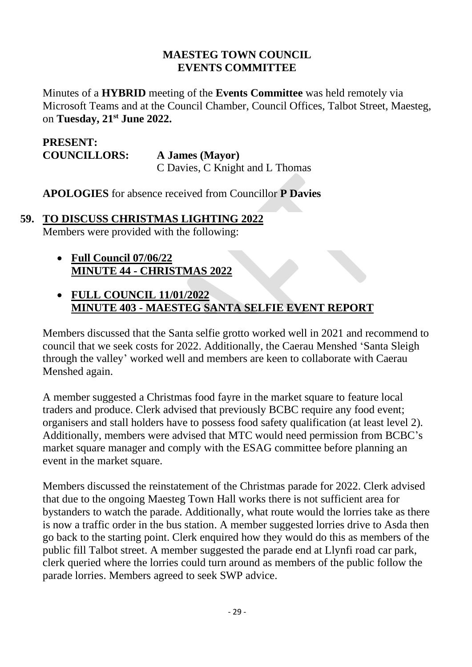#### **MAESTEG TOWN COUNCIL EVENTS COMMITTEE**

Minutes of a **HYBRID** meeting of the **Events Committee** was held remotely via Microsoft Teams and at the Council Chamber, Council Offices, Talbot Street, Maesteg, on **Tuesday, 21st June 2022.**

### **PRESENT: COUNCILLORS: A James (Mayor)**

C Davies, C Knight and L Thomas

**APOLOGIES** for absence received from Councillor **P Davies**

#### **59. TO DISCUSS CHRISTMAS LIGHTING 2022**

Members were provided with the following:

• **Full Council 07/06/22 MINUTE 44 - CHRISTMAS 2022**

### • **FULL COUNCIL 11/01/2022 MINUTE 403 - MAESTEG SANTA SELFIE EVENT REPORT**

Members discussed that the Santa selfie grotto worked well in 2021 and recommend to council that we seek costs for 2022. Additionally, the Caerau Menshed 'Santa Sleigh through the valley' worked well and members are keen to collaborate with Caerau Menshed again.

A member suggested a Christmas food fayre in the market square to feature local traders and produce. Clerk advised that previously BCBC require any food event; organisers and stall holders have to possess food safety qualification (at least level 2). Additionally, members were advised that MTC would need permission from BCBC's market square manager and comply with the ESAG committee before planning an event in the market square.

Members discussed the reinstatement of the Christmas parade for 2022. Clerk advised that due to the ongoing Maesteg Town Hall works there is not sufficient area for bystanders to watch the parade. Additionally, what route would the lorries take as there is now a traffic order in the bus station. A member suggested lorries drive to Asda then go back to the starting point. Clerk enquired how they would do this as members of the public fill Talbot street. A member suggested the parade end at Llynfi road car park, clerk queried where the lorries could turn around as members of the public follow the parade lorries. Members agreed to seek SWP advice.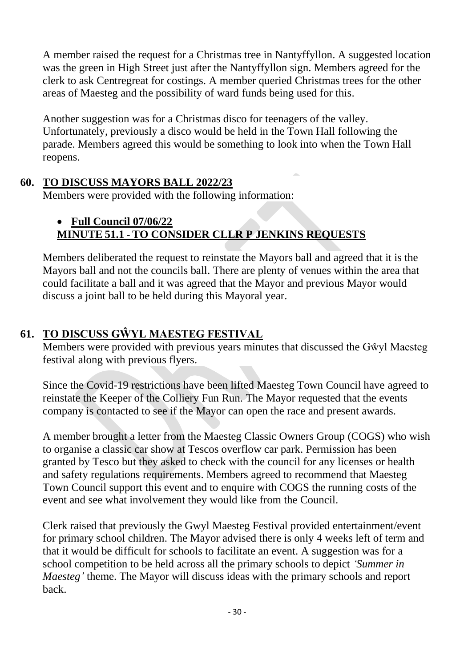A member raised the request for a Christmas tree in Nantyffyllon. A suggested location was the green in High Street just after the Nantyffyllon sign. Members agreed for the clerk to ask Centregreat for costings. A member queried Christmas trees for the other areas of Maesteg and the possibility of ward funds being used for this.

Another suggestion was for a Christmas disco for teenagers of the valley. Unfortunately, previously a disco would be held in the Town Hall following the parade. Members agreed this would be something to look into when the Town Hall reopens.

### **60. TO DISCUSS MAYORS BALL 2022/23**

Members were provided with the following information:

## • **Full Council 07/06/22 MINUTE 51.1 - TO CONSIDER CLLR P JENKINS REQUESTS**

Members deliberated the request to reinstate the Mayors ball and agreed that it is the Mayors ball and not the councils ball. There are plenty of venues within the area that could facilitate a ball and it was agreed that the Mayor and previous Mayor would discuss a joint ball to be held during this Mayoral year.

# **61. TO DISCUSS GŴYL MAESTEG FESTIVAL**

Members were provided with previous years minutes that discussed the Gŵyl Maesteg festival along with previous flyers.

Since the Covid-19 restrictions have been lifted Maesteg Town Council have agreed to reinstate the Keeper of the Colliery Fun Run. The Mayor requested that the events company is contacted to see if the Mayor can open the race and present awards.

A member brought a letter from the Maesteg Classic Owners Group (COGS) who wish to organise a classic car show at Tescos overflow car park. Permission has been granted by Tesco but they asked to check with the council for any licenses or health and safety regulations requirements. Members agreed to recommend that Maesteg Town Council support this event and to enquire with COGS the running costs of the event and see what involvement they would like from the Council.

Clerk raised that previously the Gwyl Maesteg Festival provided entertainment/event for primary school children. The Mayor advised there is only 4 weeks left of term and that it would be difficult for schools to facilitate an event. A suggestion was for a school competition to be held across all the primary schools to depict *'Summer in Maesteg'* theme. The Mayor will discuss ideas with the primary schools and report back.